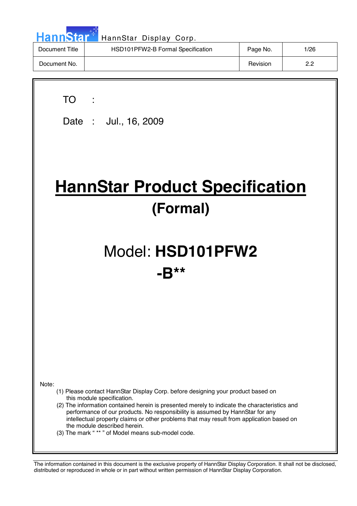| <b>HannStart</b> | HannStar Display Corp.            |          |      |
|------------------|-----------------------------------|----------|------|
| Document Title   | HSD101PFW2-B Formal Specification | Page No. | 1/26 |
| Document No.     |                                   | Revision | 2.2  |

7

 $\overline{\phantom{a}}$ 

| <b>TO</b><br>Date: Jul., 16, 2009                                                                                                                                                                                                                                                                                                                                                                                                                                                         |  |  |  |
|-------------------------------------------------------------------------------------------------------------------------------------------------------------------------------------------------------------------------------------------------------------------------------------------------------------------------------------------------------------------------------------------------------------------------------------------------------------------------------------------|--|--|--|
| <b>HannStar Product Specification</b><br>(Formal)                                                                                                                                                                                                                                                                                                                                                                                                                                         |  |  |  |
| Model: HSD101PFW2<br>$\boldsymbol{\pi}$ $\boldsymbol{\pi}$<br>-R                                                                                                                                                                                                                                                                                                                                                                                                                          |  |  |  |
|                                                                                                                                                                                                                                                                                                                                                                                                                                                                                           |  |  |  |
| Note:<br>(1) Please contact HannStar Display Corp. before designing your product based on<br>this module specification.<br>(2) The information contained herein is presented merely to indicate the characteristics and<br>performance of our products. No responsibility is assumed by HannStar for any<br>intellectual property claims or other problems that may result from application based on<br>the module described herein.<br>(3) The mark "** " of Model means sub-model code. |  |  |  |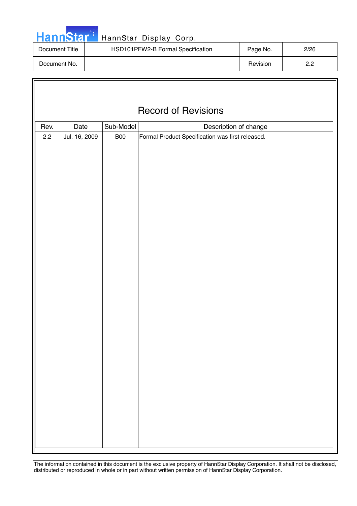|  | <b>HannStary</b> |  |
|--|------------------|--|
|  |                  |  |
|  |                  |  |

Г

### HannStar Display Corp.

| Document Title | HSD101PFW2-B Formal Specification |          | 2/26 |
|----------------|-----------------------------------|----------|------|
| Document No.   |                                   | Revision | פ פ  |

|             | <b>Record of Revisions</b> |                         |                                                                           |  |  |  |
|-------------|----------------------------|-------------------------|---------------------------------------------------------------------------|--|--|--|
|             |                            |                         |                                                                           |  |  |  |
| Rev.<br>2.2 | Date<br>Jul, 16, 2009      | Sub-Model<br><b>B00</b> | Description of change<br>Formal Product Specification was first released. |  |  |  |
|             |                            |                         |                                                                           |  |  |  |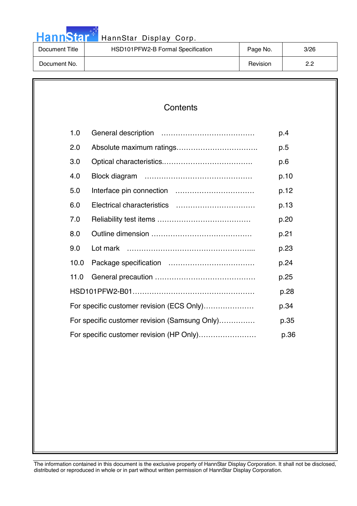# HannStar<sup>th</sup> HannStar Display Corp.

| Document Title | HSD101PFW2-B Formal Specification | Page No. | 3/26       |
|----------------|-----------------------------------|----------|------------|
| Document No.   |                                   | Revision | פ פ<br>ے.ے |

| 1.0  |                                               | p.4  |
|------|-----------------------------------------------|------|
| 2.0  |                                               | p.5  |
| 3.0  |                                               | p.6  |
| 4.0  |                                               | p.10 |
| 5.0  |                                               | p.12 |
| 6.0  |                                               | p.13 |
| 7.0  |                                               | p.20 |
| 8.0  |                                               | p.21 |
| 9.0  |                                               | p.23 |
| 10.0 |                                               | p.24 |
| 11.0 |                                               | p.25 |
|      |                                               | p.28 |
|      | For specific customer revision (ECS Only)     | p.34 |
|      | For specific customer revision (Samsung Only) | p.35 |
|      | For specific customer revision (HP Only)      | p.36 |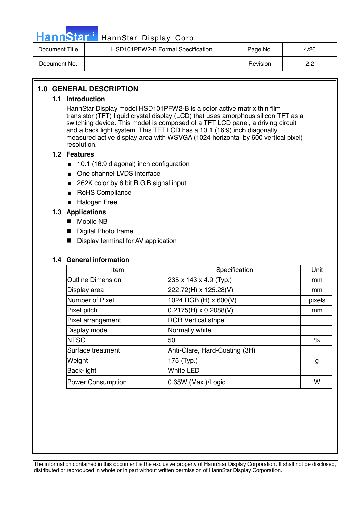

### HannStar Display Corp.

| Document Title | HSD101PFW2-B Formal Specification | Page No. | 4/26   |
|----------------|-----------------------------------|----------|--------|
| Document No.   |                                   | Revision | ററ<br> |

### **1.0 GENERAL DESCRIPTION**

#### **1.1 Introduction**

HannStar Display model HSD101PFW2-B is a color active matrix thin film transistor (TFT) liquid crystal display (LCD) that uses amorphous silicon TFT as a switching device. This model is composed of a TFT LCD panel, a driving circuit and a back light system. This TFT LCD has a 10.1 (16:9) inch diagonally measured active display area with WSVGA (1024 horizontal by 600 vertical pixel) resolution.

#### **1.2 Features**

- 10.1 (16:9 diagonal) inch configuration
- One channel LVDS interface
- 262K color by 6 bit R.G.B signal input
- RoHS Compliance
- Halogen Free

### **1.3 Applications**

- Mobile NB
- **Digital Photo frame**
- Display terminal for AV application

#### **1.4 General information**

| Item                     | Specification                 | Unit   |
|--------------------------|-------------------------------|--------|
| <b>Outline Dimension</b> | 235 x 143 x 4.9 (Typ.)        | mm     |
| Display area             | 222.72(H) x 125.28(V)         | mm     |
| Number of Pixel          | 1024 RGB (H) x 600(V)         | pixels |
| Pixel pitch              | $0.2175(H) \times 0.2088(V)$  | mm     |
| Pixel arrangement        | <b>RGB Vertical stripe</b>    |        |
| Display mode             | Normally white                |        |
| <b>INTSC</b>             | 50                            | $\%$   |
| Surface treatment        | Anti-Glare, Hard-Coating (3H) |        |
| Weight                   | 175 (Typ.)                    | g      |
| Back-light               | <b>White LED</b>              |        |
| <b>Power Consumption</b> | 0.65W (Max.)/Logic            | w      |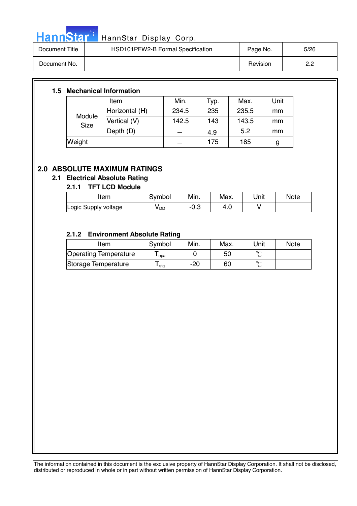

# HannStar<sup>t HannStar</sup> Display Corp.

| Document Title | HSD101PFW2-B Formal Specification | Page No. | 5/26      |
|----------------|-----------------------------------|----------|-----------|
| Document No.   |                                   | Revision | ററ<br>_._ |

### **1.5 Mechanical Information**

| Item                  |                | Min.  | Typ. | Max.  | Unit |
|-----------------------|----------------|-------|------|-------|------|
| Module<br><b>Size</b> | Horizontal (H) | 234.5 | 235  | 235.5 | mm   |
|                       | Vertical (V)   | 142.5 | 143  | 143.5 | mm   |
|                       | Depth (D)      |       | 4.9  | 5.2   | mm   |
| Weight                |                |       | 175  | 185   | g    |

### **2.0 ABSOLUTE MAXIMUM RATINGS**

### **2.1 Electrical Absolute Rating**

### **2.1.1 TFT LCD Module**

| ltem                 | Symbol          | Min. | Max. | Unit | Note |
|----------------------|-----------------|------|------|------|------|
| Logic Supply voltage | y <sub>DD</sub> | ∴∪-  | -4.U |      |      |

### **2.1.2 Environment Absolute Rating**

| Item                  | Symbol           | Min. | Max. | Unit   | <b>Note</b> |
|-----------------------|------------------|------|------|--------|-------------|
| Operating Temperature | opa              |      | 50   |        |             |
| Storage Temperature   | <sup>l</sup> stg | -20  | 60   | $\sim$ |             |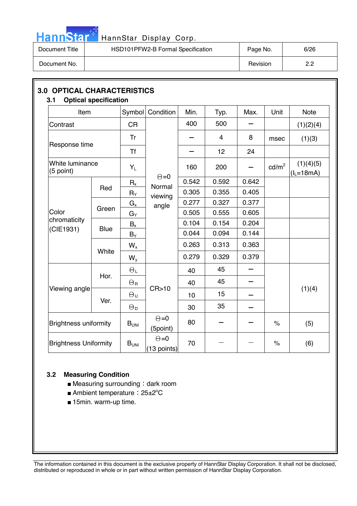

# HannStar<sup>t H</sup> HannStar Display Corp.

| Document Title | HSD101PFW2-B Formal Specification | Page No. | 6/26 |
|----------------|-----------------------------------|----------|------|
| Document No.   |                                   | Revision | 2.2  |

| Item                         |                      | Symbol                | Condition                   | Min.  | Typ.           | Max.                     | Unit            | <b>Note</b>              |
|------------------------------|----------------------|-----------------------|-----------------------------|-------|----------------|--------------------------|-----------------|--------------------------|
| Contrast                     |                      | <b>CR</b>             |                             | 400   | 500            |                          |                 | (1)(2)(4)                |
|                              |                      | Tr                    |                             |       | $\overline{4}$ | 8                        | msec            | (1)(3)                   |
| Response time                |                      | <b>Tf</b>             |                             |       | 12             | 24                       |                 |                          |
| White luminance<br>(5 point) |                      | $Y_L$                 | $\Theta = 0$                | 160   | 200            |                          | $\text{cd/m}^2$ | (1)(4)(5)<br>$(IL=18mA)$ |
|                              |                      | $R_{x}$               | Normal                      | 0.542 | 0.592          | 0.642                    |                 |                          |
| Color                        | Red                  | $R_Y$                 | viewing                     | 0.305 | 0.355          | 0.405                    |                 |                          |
|                              | Green<br><b>Blue</b> | $G_x$                 | angle                       | 0.277 | 0.327          | 0.377                    |                 |                          |
|                              |                      | $G_{\mathsf{Y}}$      |                             | 0.505 | 0.555          | 0.605                    |                 |                          |
| chromaticity                 |                      | $B_{x}$               |                             | 0.104 | 0.154          | 0.204                    |                 |                          |
| (CIE1931)                    |                      | $B_Y$                 |                             | 0.044 | 0.094          | 0.144                    |                 |                          |
|                              |                      | $W_{x}$               |                             | 0.263 | 0.313          | 0.363                    |                 |                          |
|                              | White                | $W_{y}$               |                             | 0.279 | 0.329          | 0.379                    |                 |                          |
|                              | Hor.                 | $\Theta_L$            |                             | 40    | 45             |                          |                 |                          |
|                              |                      | $\Theta_{\rm R}$      |                             | 40    | 45             | $\overline{\phantom{0}}$ |                 |                          |
| Viewing angle                |                      | $\Theta_{\sf U}$      | CR > 10                     | 10    | 15             |                          |                 | (1)(4)                   |
|                              | Ver.                 | $\Theta_{\mathsf{D}}$ |                             | 30    | 35             |                          |                 |                          |
| <b>Brightness uniformity</b> |                      | $B_{UNI}$             | $\Theta = 0$<br>(5point)    | 80    |                |                          | $\%$            | (5)                      |
| <b>Brightness Uniformity</b> |                      | $B_{\mathsf{UNI}}$    | $\Theta = 0$<br>(13 points) | 70    |                |                          | $\%$            | (6)                      |

### **3.2 Measuring Condition**

- $\blacksquare$  Measuring surrounding : dark room
- Ambient temperature: 25±2°C
- 15min. warm-up time.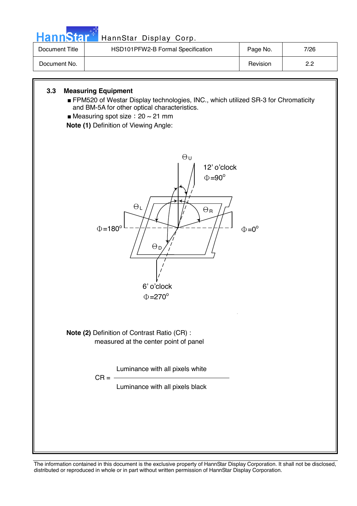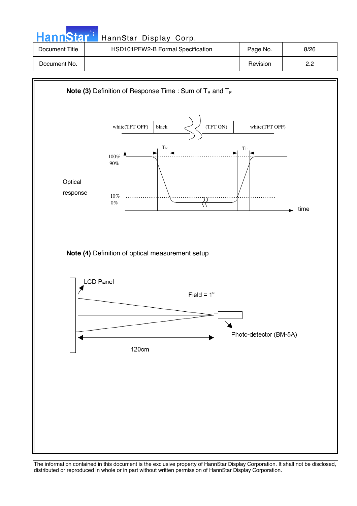| <b>HannStar</b> | HannStar Display Corp.            |          |      |
|-----------------|-----------------------------------|----------|------|
| Document Title  | HSD101PFW2-B Formal Specification | Page No. | 8/26 |
| Document No.    |                                   | Revision | 2.2  |

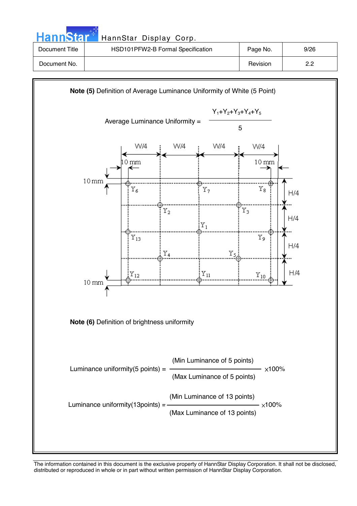| <b>HannStart</b> | HannStar Display Corp.            |          |      |
|------------------|-----------------------------------|----------|------|
| Document Title   | HSD101PFW2-B Formal Specification | Page No. | 9/26 |
| Document No.     |                                   | Revision | 2.2  |
|                  |                                   |          |      |

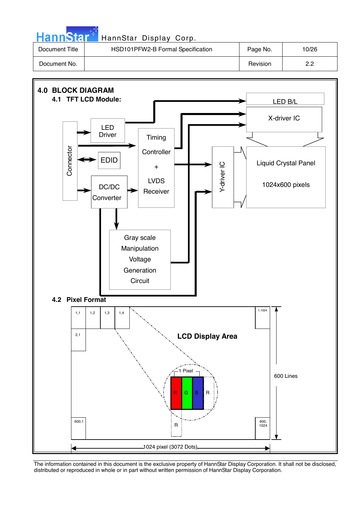| HannStar <sup>*</sup> | HannStar Display Corp.            |          |       |
|-----------------------|-----------------------------------|----------|-------|
| Document Title        | HSD101PFW2-B Formal Specification | Page No. | 10/26 |
| Document No.          |                                   | Revision | 2.2   |

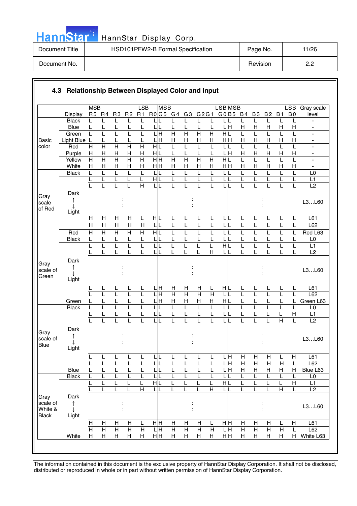|  | ann | Ы |  |
|--|-----|---|--|
|  |     |   |  |

### HannStar Display Corp.

| Document Title | HSD101PFW2-B Formal Specification | Page No. | 11/26 |
|----------------|-----------------------------------|----------|-------|
| Document No.   |                                   | Revision | ററ    |

|                                             |                    | <b>MSB</b>        |                     |                         |                                | LSB                     | <b>MSB</b>              |                         |                |                |                         | <b>LSB</b> MSB               |                     |                     |                         |                         | <b>LSB</b>                | Gray scale                                     |
|---------------------------------------------|--------------------|-------------------|---------------------|-------------------------|--------------------------------|-------------------------|-------------------------|-------------------------|----------------|----------------|-------------------------|------------------------------|---------------------|---------------------|-------------------------|-------------------------|---------------------------|------------------------------------------------|
|                                             | Display            | R5 R4             |                     | R <sub>3</sub>          | R <sub>2</sub>                 | R1                      | R0G5 G4                 |                         | G3             | G2G1           |                         | G0 B5 B4                     |                     | <b>B3</b>           | <b>B2</b>               | <b>B1</b>               | B <sub>0</sub>            | level                                          |
|                                             | <b>Black</b>       |                   | L                   | L                       | L                              |                         |                         |                         |                |                | L                       |                              | L                   | L                   | L                       |                         |                           |                                                |
|                                             | <b>Blue</b>        | L                 | L                   | L                       |                                | L                       | L<br>L                  | L                       | L              | L              | L                       | 듴                            | $\overline{H}$      | $\overline{H}$      | $\overline{\mathsf{H}}$ | $\overline{H}$          | $\overline{H}$            |                                                |
|                                             | Green              | L                 | L                   | L                       |                                | L                       | ГH                      | $\overline{H}$          | $\overline{H}$ | $\overline{H}$ | $\overline{H}$          | $\frac{1}{\sqrt{2}}$         | L                   | L                   | L                       |                         |                           | $\blacksquare$                                 |
| <b>Basic</b>                                | Light Blue         | L                 | L                   | L                       | L                              | L                       | LН                      | $\overline{H}$          | $\mathsf{H}$   | $\mathsf{H}$   | H                       | H H                          | $\overline{H}$      | H                   | $\overline{H}$          | $\overline{H}$          | Η                         | $\blacksquare$                                 |
| color                                       | Red                | $\mathsf{H}$<br>H | H<br>$\overline{H}$ | H<br>$\overline{H}$     | $\mathsf{H}$<br>$\overline{H}$ | Н<br>$\overline{H}$     | HIL<br>НĿ               | L<br>L                  |                | L<br>L         | L                       | L<br>L<br>Ξ                  | L<br>$\overline{H}$ | L<br>$\overline{H}$ | L<br>$\overline{H}$     | $\overline{\mathsf{H}}$ | $\overline{H}$            | $\overline{\phantom{a}}$                       |
|                                             | Purple<br>Yellow   | H                 | $\overline{H}$      | $\overline{\mathsf{H}}$ | $\overline{\mathsf{H}}$        | $\overline{\mathsf{H}}$ | $\overline{H}$ H        | $\overline{\mathsf{H}}$ | $\overline{H}$ | $\overline{H}$ | L<br>$\overline{H}$     | H L                          | L                   | L                   | L                       | L                       |                           | $\blacksquare$<br>$\qquad \qquad \blacksquare$ |
|                                             | White              | H                 | $\overline{H}$      | $\overline{H}$          | $\overline{\mathsf{H}}$        | $\overline{H}$          | $\overline{H}$ H        | $\overline{H}$          | $\overline{H}$ | $\overline{H}$ | $\overline{H}$          | H H                          | $\overline{H}$      | $\overline{H}$      | $\overline{H}$          | $\overline{H}$          | $\overline{H}$            | ä,                                             |
|                                             | <b>Black</b>       | L                 | L                   | L                       | L                              | L                       | L                       | L                       | L              | L              | L                       | L                            | L                   | L                   | L                       | L                       |                           | L <sub>0</sub>                                 |
|                                             |                    | L                 | L                   | L                       | L                              | L                       | HIL                     | L                       | L              | L              | L                       | L<br>L                       | L                   | L                   | L                       | L                       |                           | L1                                             |
|                                             |                    |                   |                     | L                       | L                              | $\overline{H}$          | L                       | L                       |                | L              | L                       | L<br>L                       | L                   |                     | L                       | L                       |                           | L2                                             |
| Gray<br>scale<br>of Red                     | Dark<br>↑          |                   |                     |                         |                                |                         |                         |                         |                |                |                         |                              |                     |                     |                         |                         |                           | L3L60                                          |
|                                             | Light              |                   |                     |                         |                                |                         |                         |                         |                |                |                         |                              |                     |                     |                         |                         |                           |                                                |
|                                             |                    | H                 | H                   | $\mathsf{H}$            | Н                              | L                       | HL                      | L                       | L              | L              | L                       | IL.<br>L                     | L                   | L                   | L                       | L                       |                           | L61                                            |
|                                             |                    | $\overline{H}$    | $\overline{H}$      | $\overline{\mathsf{H}}$ | $\overline{\mathsf{H}}$        | $\overline{H}$          | L<br>L                  | L                       | L              | L              | L                       | L                            | L                   | L                   | L                       | L                       |                           | L62                                            |
|                                             | Red                | $\overline{H}$    | $\overline{H}$      | $\overline{H}$          | $\overline{H}$                 | $\overline{H}$          | H L                     | L                       | L              | L              | L                       | L                            | L                   | L                   | L                       | L                       |                           | Red L63                                        |
|                                             | <b>Black</b>       | L                 | L                   | Г                       | L                              | L                       | L<br>L                  | L                       | L              | L              | L                       | L                            | L                   | L                   | L                       | L                       |                           | L <sub>0</sub>                                 |
|                                             |                    |                   | L<br>L              | L<br>L                  | L                              | L<br>L                  | L<br>L                  | L<br>L                  | L              | L<br>L         | L<br>$\overline{H}$     | HL<br>L                      | L<br>L              | L                   | L<br>L                  | L<br>L                  |                           | L1<br>L2                                       |
| Gray<br>scale of<br>Green                   | Dark<br>↑<br>Light |                   |                     |                         |                                |                         |                         |                         |                |                |                         |                              |                     |                     |                         |                         |                           | L3L60                                          |
|                                             |                    |                   | L                   | L                       | L                              | L                       | . н<br>L                | Н                       | H              | H              | L                       | HL                           | L                   | L                   | L                       | L                       | L                         | L61                                            |
|                                             |                    |                   | L                   | L                       | L                              | L                       | .H<br>I                 | $\overline{H}$          | $\overline{H}$ | $\overline{H}$ | $\mathsf{H}$            | L                            | L                   | L                   | L                       |                         |                           | L62                                            |
|                                             | Green              |                   | L                   | L                       |                                |                         | $\overline{\mathsf{H}}$ | $\overline{H}$          | $\overline{H}$ | $\overline{H}$ | $\overline{H}$          | H L                          | L                   |                     | L                       |                         |                           | Green L63                                      |
|                                             | <b>Black</b>       |                   | L                   | L                       |                                | L                       | L                       | L                       | L              | L              | L                       | L                            | L                   |                     | L                       |                         |                           | L <sub>0</sub>                                 |
|                                             |                    |                   | L<br>L              | L<br>L                  |                                |                         | L<br>L                  | L<br>L                  | L              | L              | L<br>L                  | L<br>L                       | L<br>L              | L                   | L<br>L                  | $\overline{\mathsf{H}}$ | $\overline{H}$            | L1<br>L2                                       |
|                                             |                    |                   |                     |                         |                                |                         |                         |                         |                |                |                         |                              |                     |                     |                         |                         |                           |                                                |
| Gray<br>scale of<br><b>Blue</b>             | Dark<br>Light      |                   |                     |                         |                                |                         |                         |                         |                |                |                         |                              |                     |                     |                         |                         |                           | L3L60                                          |
|                                             |                    |                   | <u>ь</u>            | ь                       | ┕                              | щ                       | ►                       | ш                       | ┕              | ┕              |                         | ЦH                           | $\overline{H}$      | $\mathsf{H}$        | $\mathsf{H}$            | ь                       | H                         | L61                                            |
|                                             |                    | L                 | L                   | L                       | L                              | L                       | $\mathsf{L}$<br>L       | L                       | L              | L              | L                       | ЦH                           | H                   | $\mathsf{H}$        | H                       | $\mathsf{H}$            | L                         | L62                                            |
|                                             | <b>Blue</b>        |                   | L                   | L                       | L                              | L                       | LI                      | L                       |                | L              | L                       | $\overline{\mathsf{H}}$<br>L | $\overline{H}$      | $\overline{H}$      | $\overline{H}$          | Н                       | H                         | Blue L63                                       |
|                                             | <b>Black</b>       |                   | L                   | L                       |                                | L                       | 니                       | L                       |                | L              | L                       | L                            | L                   | L                   | L                       | L                       | L                         | $\mathsf{L0}$                                  |
|                                             |                    |                   | L                   | L                       |                                | L                       | H L                     | L                       |                | L              | L                       | НL                           | L                   | L                   | L                       |                         | $\overline{H}$            | L1                                             |
|                                             |                    |                   | L                   | L                       | L                              | $\overline{H}$          | LL                      | L                       | L              | L              | $\overline{\mathsf{H}}$ | LL                           | L                   | L                   | L                       | $\overline{H}$          |                           | L2                                             |
| Gray<br>scale of<br>White &<br><b>Black</b> | Dark<br>↑<br>Light |                   |                     |                         |                                |                         |                         |                         |                |                |                         |                              |                     |                     |                         |                         |                           | L3L60                                          |
|                                             |                    | H                 | H                   | H                       | н                              | L                       | нĮн                     | H                       | Н              | H              | L                       | нH                           | H                   | Н                   | H                       | L                       | $\boldsymbol{\mathsf{H}}$ | L61                                            |
|                                             |                    | $\overline{H}$    | $\mathsf{H}$        | $\overline{H}$          | $\overline{H}$                 | H                       | LН                      | $\overline{H}$          | $\overline{H}$ | $\overline{H}$ | H                       | LН                           | $\overline{H}$      | $\mathsf{H}$        | $\overline{H}$          | $\mathsf{H}$            |                           | L62                                            |
|                                             | White              | $\pm$             | H                   | $\overline{H}$          | $\overline{H}$                 | H                       | H H                     | $\overline{H}$          | Н              | Η              | $\overline{H}$          | H H                          | Н                   | H                   | Н                       | $\overline{H}$          | $\overline{H}$            | White L63                                      |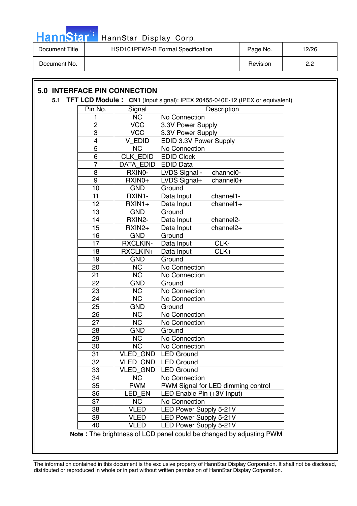![](_page_11_Picture_0.jpeg)

| Document Title | HSD101PFW2-B Formal Specification | Page No. | 12/26 |
|----------------|-----------------------------------|----------|-------|
| Document No.   |                                   | Revision | ററ    |

### **5.0 INTERFACE PIN CONNECTION**

#### **5.1 TFT LCD Module : CN1** (Input signal): IPEX 20455-040E-12 (IPEX or equivalent)

| Pin No.         | Signal                                                              | Description                           |  |  |  |  |  |  |
|-----------------|---------------------------------------------------------------------|---------------------------------------|--|--|--|--|--|--|
| 1               | <b>NC</b>                                                           | No Connection                         |  |  |  |  |  |  |
| $\overline{2}$  | <b>VCC</b>                                                          | 3.3V Power Supply                     |  |  |  |  |  |  |
| $\overline{3}$  | VCC                                                                 | 3.3V Power Supply                     |  |  |  |  |  |  |
| $\overline{4}$  | V EDID                                                              | <b>EDID 3.3V Power Supply</b>         |  |  |  |  |  |  |
| $\overline{5}$  | <b>NC</b>                                                           | No Connection                         |  |  |  |  |  |  |
| $\overline{6}$  | <b>CLK EDID</b>                                                     | <b>EDID Clock</b>                     |  |  |  |  |  |  |
| $\overline{7}$  | <b>DATA EDID</b>                                                    | <b>EDID Data</b>                      |  |  |  |  |  |  |
| $\overline{8}$  | RXINO-                                                              | channel0-<br>LVDS Signal -            |  |  |  |  |  |  |
| 9               | RXIN0+                                                              | LVDS Signal+<br>channel <sub>0+</sub> |  |  |  |  |  |  |
| 10              | <b>GND</b>                                                          | Ground                                |  |  |  |  |  |  |
| 11              | RXIN1-                                                              | Data Input<br>channel1-               |  |  |  |  |  |  |
| 12              | RXIN1+                                                              | Data Input<br>$channel1+$             |  |  |  |  |  |  |
| 13              | <b>GND</b>                                                          | Ground                                |  |  |  |  |  |  |
| 14              | RXIN2-                                                              | Data Input<br>channel <sub>2</sub> -  |  |  |  |  |  |  |
| 15              | RXIN2+                                                              | channel <sub>2+</sub><br>Data Input   |  |  |  |  |  |  |
| 16              | <b>GND</b>                                                          | Ground                                |  |  |  |  |  |  |
| 17              | <b>RXCLKIN-</b>                                                     | CLK-<br>Data Input                    |  |  |  |  |  |  |
| 18              | RXCLKIN+                                                            | CLK+<br>Data Input                    |  |  |  |  |  |  |
| 19              | <b>GND</b>                                                          | Ground                                |  |  |  |  |  |  |
| 20              | <b>NC</b>                                                           | No Connection                         |  |  |  |  |  |  |
| 21              | <b>NC</b>                                                           | No Connection                         |  |  |  |  |  |  |
| 22              | <b>GND</b>                                                          | Ground                                |  |  |  |  |  |  |
| $\overline{23}$ | $\overline{\text{NC}}$                                              | No Connection                         |  |  |  |  |  |  |
| 24              | $\overline{\text{NC}}$                                              | No Connection                         |  |  |  |  |  |  |
| 25              | <b>GND</b>                                                          | Ground                                |  |  |  |  |  |  |
| 26              | <b>NC</b>                                                           | <b>No Connection</b>                  |  |  |  |  |  |  |
| 27              | <b>NC</b>                                                           | No Connection                         |  |  |  |  |  |  |
| 28              | <b>GND</b>                                                          | Ground                                |  |  |  |  |  |  |
| 29              | <b>NC</b>                                                           | No Connection                         |  |  |  |  |  |  |
| 30              | <b>NC</b>                                                           | <b>No Connection</b>                  |  |  |  |  |  |  |
| 31              | <b>VLED GND</b>                                                     | LED Ground                            |  |  |  |  |  |  |
| 32              | <b>VLED GND</b>                                                     | <b>LED Ground</b>                     |  |  |  |  |  |  |
| 33              | <b>VLED GND</b>                                                     | <b>LED Ground</b>                     |  |  |  |  |  |  |
| 34              | <b>NC</b>                                                           | <b>No Connection</b>                  |  |  |  |  |  |  |
| 35              | <b>PWM</b>                                                          | PWM Signal for LED dimming control    |  |  |  |  |  |  |
| 36              | LED EN                                                              | LED Enable Pin (+3V Input)            |  |  |  |  |  |  |
| 37              | <b>NC</b>                                                           | No Connection                         |  |  |  |  |  |  |
| 38              | <b>VLED</b>                                                         | <b>LED Power Supply 5-21V</b>         |  |  |  |  |  |  |
| 39              | VLED                                                                | <b>LED Power Supply 5-21V</b>         |  |  |  |  |  |  |
| 40              | <b>VLED</b>                                                         | <b>ED Power Supply 5-21V</b>          |  |  |  |  |  |  |
|                 | Note: The brightness of LCD panel could be changed by adjusting PWM |                                       |  |  |  |  |  |  |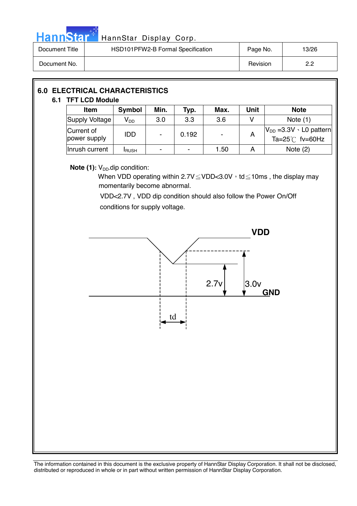![](_page_12_Picture_0.jpeg)

# HannStar<sup>th</sup> HannStar Display Corp.

| Document Title | HSD101PFW2-B Formal Specification | Page No. | 13/26 |
|----------------|-----------------------------------|----------|-------|
| Document No.   |                                   | Revision | ר ה   |

| <b>6.0 ELECTRICAL CHARACTERISTICS</b><br>6.1 TFT LCD Module |  |                            |                            |                          |       |      |             |                                                                |  |
|-------------------------------------------------------------|--|----------------------------|----------------------------|--------------------------|-------|------|-------------|----------------------------------------------------------------|--|
|                                                             |  | <b>Item</b>                | Symbol                     | Min.                     | Typ.  | Max. | <b>Unit</b> | <b>Note</b>                                                    |  |
|                                                             |  | Supply Voltage             | $\mathsf{V}_{\mathsf{DD}}$ | 3.0                      | 3.3   | 3.6  | v           | Note $(1)$                                                     |  |
|                                                             |  | Current of<br>power supply | <b>IDD</b>                 | $\overline{\phantom{a}}$ | 0.192 |      | A           | $V_{DD} = 3.3V \cdot LO$ pattern<br>Ta= $25^{\circ}$ C fv=60Hz |  |
|                                                             |  | Inrush current             | <b>I</b> RUSH              |                          |       | 1.50 | A           | Note $(2)$                                                     |  |

### **Note (1):** V<sub>DD</sub>-dip condition:

When VDD operating within  $2.7V \leq VDD < 3.0V$  , td  $\leq$  10ms, the display may momentarily become abnormal.

 VDD<2.7V , VDD dip condition should also follow the Power On/Off conditions for supply voltage.

![](_page_12_Figure_7.jpeg)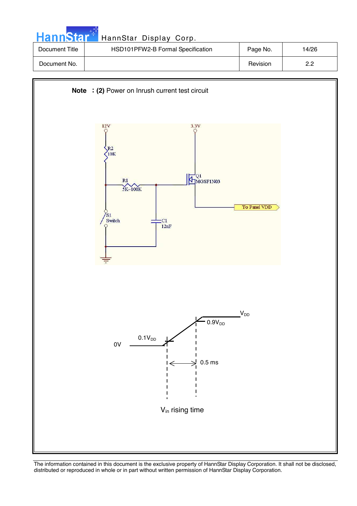| <b>HannStart</b> | HannStar Display Corp.            |          |       |
|------------------|-----------------------------------|----------|-------|
| Document Title   | HSD101PFW2-B Formal Specification | Page No. | 14/26 |
| Document No.     |                                   | Revision | 2.2   |

![](_page_13_Figure_1.jpeg)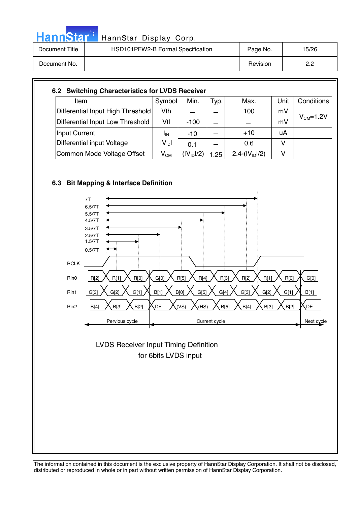| <b>HannStar</b> | HannStar Display Corp.            |          |       |
|-----------------|-----------------------------------|----------|-------|
| Document Title  | HSD101PFW2-B Formal Specification | Page No. | 15/26 |
| Document No.    |                                   | Revision | 2.2   |

| Item                              | Symbol     | Min.                   | Typ. | Max.            | Unit | Conditions      |
|-----------------------------------|------------|------------------------|------|-----------------|------|-----------------|
| Differential Input High Threshold | Vth        |                        |      | 100             | mV   |                 |
| Differential Input Low Threshold  | Vtl        | $-100$                 |      |                 | mV   | $V_{CM} = 1.2V$ |
| Input Current                     | ΙıΝ        | $-10$                  |      | $+10$           | uA   |                 |
| Differential input Voltage        | $ V_{ID} $ | 0.1                    |      | 0.6             | v    |                 |
| Common Mode Voltage Offset        | $V_{CM}$   | (IV <sub>ID</sub> ]/2) | 1.25 | $2.4-(IVID)/2)$ | v    |                 |

![](_page_14_Figure_2.jpeg)

مراجين

![](_page_14_Figure_3.jpeg)

 for 6bits LVDS input LVDS Receiver Input Timing Definition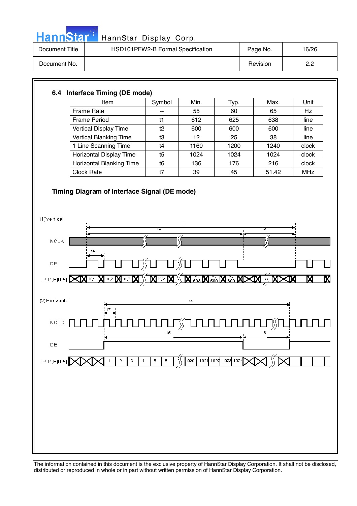![](_page_15_Picture_0.jpeg)

## HannStar<sup>#</sup> HannStar Display Corp.

| Document Title | HSD101PFW2-B Formal Specification | Page No. | 16/26 |
|----------------|-----------------------------------|----------|-------|
| Document No.   |                                   | Revision | ററ    |

### **6.4 Interface Timing (DE mode)**

| <b>Item</b>                     | Symbol | Min. | Тyр. | Max.  | Unit       |
|---------------------------------|--------|------|------|-------|------------|
| Frame Rate                      | --     | 55   | 60   | 65    | Hz         |
| <b>Frame Period</b>             | t1     | 612  | 625  | 638   | line       |
| Vertical Display Time           | t2     | 600  | 600  | 600   | line       |
| <b>Vertical Blanking Time</b>   | t3     | 12   | 25   | 38    | line       |
| 1 Line Scanning Time            | t4     | 1160 | 1200 | 1240  | clock      |
| Horizontal Display Time         | t5     | 1024 | 1024 | 1024  | clock      |
| <b>Horizontal Blanking Time</b> | t6     | 136  | 176  | 216   | clock      |
| <b>Clock Rate</b>               | t7     | 39   | 45   | 51.42 | <b>MHz</b> |

### **Timing Diagram of Interface Signal (DE mode)**

![](_page_15_Figure_6.jpeg)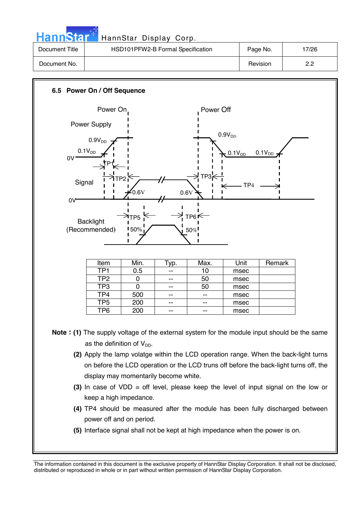| <b>HannStar</b> | HannStar Display Corp.            |          |       |
|-----------------|-----------------------------------|----------|-------|
| Document Title  | HSD101PFW2-B Formal Specification | Page No. | 17/26 |
| Document No.    |                                   | Revision | 2.2   |

![](_page_16_Figure_1.jpeg)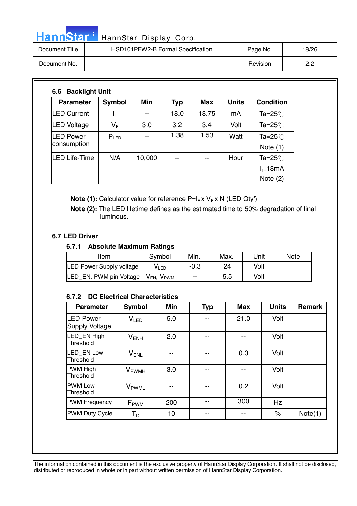# HannStar<sup>t HannStar</sup> Display Corp.

| Document Title | HSD101PFW2-B Formal Specification | Page No. | 18/26      |
|----------------|-----------------------------------|----------|------------|
| Document No.   |                                   | Revision | פ פ<br>_._ |

| <b>Parameter</b>                | <b>Symbol</b> | Min    | Typ  | <b>Max</b> | <b>Units</b> | <b>Condition</b>         |
|---------------------------------|---------------|--------|------|------------|--------------|--------------------------|
| <b>LED Current</b>              | ΙF            | --     | 18.0 | 18.75      | mA           | Ta= $25^{\circ}$ C       |
| LED Voltage                     | VF            | 3.0    | 3.2  | 3.4        | Volt         | Ta=25 $°C$               |
| <b>LED Power</b><br>consumption | $P_{LED}$     | --     | 1.38 | 1.53       | Watt         | Ta=25 $°C$<br>Note $(1)$ |
| LED Life-Time                   | N/A           | 10,000 | --   | --         | Hour         | Ta=25 $°C$               |
|                                 |               |        |      |            |              | $I_{F=}$ 18mA            |
|                                 |               |        |      |            |              | Note $(2)$               |

**Note (1):** Calculator value for reference P=I<sub>F</sub> x V<sub>F</sub> x N (LED Qty')

 **Note (2):** The LED lifetime defines as the estimated time to 50% degradation of final luminous.

### **6.7 LED Driver**

### **6.7.1 Absolute Maximum Ratings**

| Item                                                         | Symbol           | Min.   | Max. | Unit | <b>Note</b> |
|--------------------------------------------------------------|------------------|--------|------|------|-------------|
| <b>LED Power Supply voltage</b>                              | V <sub>LED</sub> | $-0.3$ | 24   | Volt |             |
| LED_EN, PWM pin Voltage   V <sub>EN</sub> , V <sub>PWM</sub> |                  | --     | 5.5  | Volt |             |

### **6.7.2 DC Electrical Characteristics**

| <b>Parameter</b>                          | Symbol                   | <b>Min</b> | <b>Typ</b> | <b>Max</b> | <b>Units</b> | <b>Remark</b> |
|-------------------------------------------|--------------------------|------------|------------|------------|--------------|---------------|
| <b>LED Power</b><br><b>Supply Voltage</b> | V <sub>LED</sub>         | 5.0        |            | 21.0       | Volt         |               |
| LED EN High<br>Threshold                  | $V_{ENH}$                | 2.0        |            |            | Volt         |               |
| LED EN Low<br>Threshold                   | $V_{ENL}$                |            |            | 0.3        | Volt         |               |
| <b>PWM High</b><br>Threshold              | <b>V</b> <sub>PWMH</sub> | 3.0        |            |            | Volt         |               |
| <b>IPWM Low</b><br>Threshold              | V <sub>PWML</sub>        | --         | --         | 0.2        | Volt         |               |
| <b>PWM Frequency</b>                      | $F_{\rm PWM}$            | 200        |            | 300        | Hz           |               |
| <b>PWM Duty Cycle</b>                     | Т <sub>р</sub>           | 10         | --         | --         | $\%$         | Note(1)       |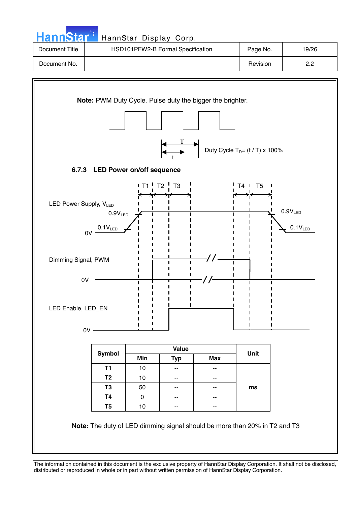![](_page_18_Figure_0.jpeg)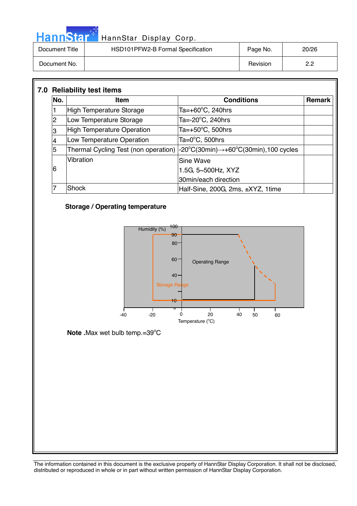|                | HannStar <sup>+</sup> HannStar Display Corp. |          |       |
|----------------|----------------------------------------------|----------|-------|
| Document Title | HSD101PFW2-B Formal Specification            | Page No. | 20/26 |
| Document No.   |                                              | Revision | 2.2   |

| No. | <b>Item</b>                       | <b>Conditions</b>                                                                                                     | <b>Remark</b> |
|-----|-----------------------------------|-----------------------------------------------------------------------------------------------------------------------|---------------|
|     | <b>High Temperature Storage</b>   | Ta=+60°C, 240hrs                                                                                                      |               |
| 2   | Low Temperature Storage           | Ta=-20°C, 240hrs                                                                                                      |               |
| 3   | <b>High Temperature Operation</b> | Ta=+50 $^{\circ}$ C, 500hrs                                                                                           |               |
|     | Low Temperature Operation         | Ta=0°C, 500hrs                                                                                                        |               |
| 5   |                                   | Thermal Cycling Test (non operation) $ -20^{\circ}C(30\text{min}) \rightarrow +60^{\circ}C(30\text{min})$ ,100 cycles |               |
|     | Vibration                         | Sine Wave                                                                                                             |               |
| 6   |                                   | 1.5G, 5~500Hz, XYZ                                                                                                    |               |
|     |                                   | 30min/each direction                                                                                                  |               |
|     | Shock                             | Half-Sine, 200G, 2ms, ±XYZ, 1time                                                                                     |               |

### **Storage / Operating temperature**

سياسي

Ī

![](_page_19_Figure_3.jpeg)

Note .Max wet bulb temp.=39°C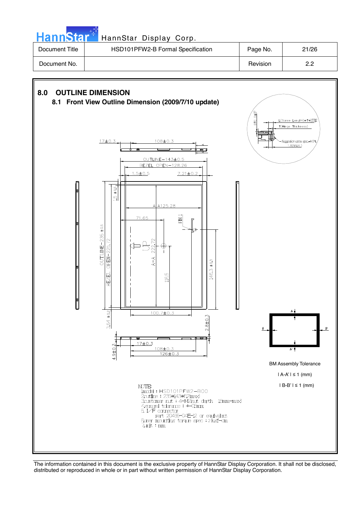**Hann**Star HannStar Display Corp. Document Title | HSD101PFW2-B Formal Specification | Page No. | 21/26

![](_page_20_Figure_3.jpeg)

![](_page_20_Figure_4.jpeg)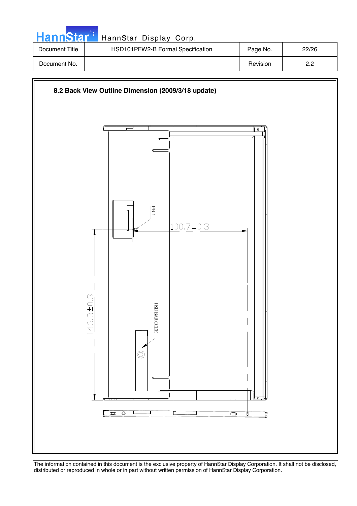| <b>HannStart</b> | HannStar Display Corp.            |          |       |
|------------------|-----------------------------------|----------|-------|
| Document Title   | HSD101PFW2-B Formal Specification | Page No. | 22/26 |
| Document No.     |                                   | Revision | 2.2   |

![](_page_21_Figure_1.jpeg)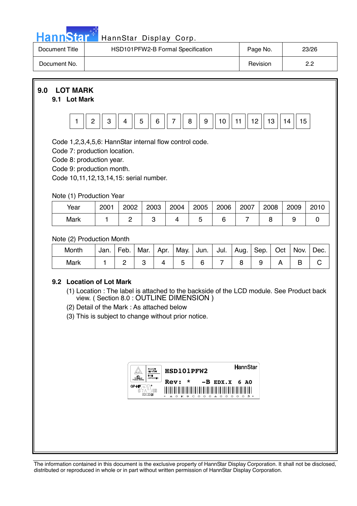|  | ann | $\mathbf{A}$ |  |
|--|-----|--------------|--|
|  |     |              |  |

### HannStar Display Corp.

| Document Title | HSD101PFW2-B Formal Specification | Page No. | 23/26       |
|----------------|-----------------------------------|----------|-------------|
| Document No.   |                                   | Revision | ר ר<br>ے. ے |

**9.0 LOT MARK** 

### **9.1 Lot Mark**

![](_page_22_Figure_5.jpeg)

Code 1,2,3,4,5,6: HannStar internal flow control code.

Code 7: production location.

Code 8: production year.

Code 9: production month.

Code 10,11,12,13,14,15: serial number.

### Note (1) Production Year

| Year | 2001 | 2002 | 2003 | 2004 | 2005 | 2006 | 2007 | 2008 | 2009 | 2010 |
|------|------|------|------|------|------|------|------|------|------|------|
| Mark |      |      |      |      |      |      |      |      |      |      |

### Note (2) Production Month

| Month | Jan. | Feb. |  |  | Mar.   Apr.   May.   Jun.   Jul.   Aug.   Sep.   Oct   Nov. |  | Dec. |
|-------|------|------|--|--|-------------------------------------------------------------|--|------|
| Mark  |      |      |  |  |                                                             |  |      |

### **9.2 Location of Lot Mark**

- (1) Location : The label is attached to the backside of the LCD module. See Product back view. ( Section 8.0 : OUTLINE DIMENSION )
- (2) Detail of the Mark : As attached below
- (3) This is subject to change without prior notice.

| TWEE<br><b><i>AIFFERDRESS</i></b> | HSD101PFW2<br>$\star$<br>Rev:                                                                  | HannStar<br>$-B$ EDX.X 6 AO                        |
|-----------------------------------|------------------------------------------------------------------------------------------------|----------------------------------------------------|
| GP-H<br>MS<br>ß<br>E212246        | I<br>║<br>I<br>I<br>Ш<br>Ш<br>Ш<br>⊪<br>║<br>I<br>$K$ 9 C O O O<br>$\triangle$ $\Omega$<br>- 0 | ║<br>║<br>$\mathbb I$<br>I<br>$\Omega$<br>$\Omega$ |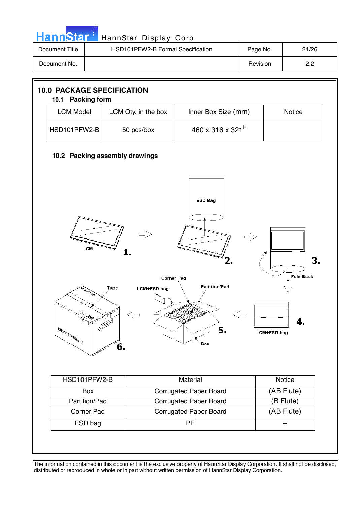| HannStar <sup>+</sup> | HannStar Display Corp.            |          |       |
|-----------------------|-----------------------------------|----------|-------|
| Document Title        | HSD101PFW2-B Formal Specification | Page No. | 24/26 |
| Document No.          |                                   | Revision | 2.2   |

![](_page_23_Figure_1.jpeg)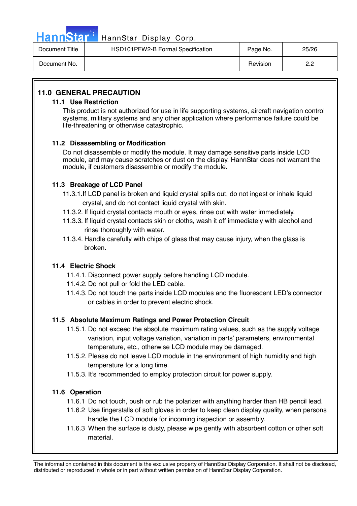![](_page_24_Picture_0.jpeg)

### Hann Star<sup>4</sup> HannStar Display Corp.

| Document Title | HSD101PFW2-B Formal Specification | Page No. | 25/26    |
|----------------|-----------------------------------|----------|----------|
| Document No.   |                                   | Revision | っっ<br>_. |

### **11.0 GENERAL PRECAUTION**

### **11.1 Use Restriction**

This product is not authorized for use in life supporting systems, aircraft navigation control systems, military systems and any other application where performance failure could be life-threatening or otherwise catastrophic.

### **11.2 Disassembling or Modification**

 Do not disassemble or modify the module. It may damage sensitive parts inside LCD module, and may cause scratches or dust on the display. HannStar does not warrant the module, if customers disassemble or modify the module.

### **11.3 Breakage of LCD Panel**

- 11.3.1.If LCD panel is broken and liquid crystal spills out, do not ingest or inhale liquid crystal, and do not contact liquid crystal with skin.
- 11.3.2. If liquid crystal contacts mouth or eyes, rinse out with water immediately.
- 11.3.3. If liquid crystal contacts skin or cloths, wash it off immediately with alcohol and rinse thoroughly with water.
- 11.3.4. Handle carefully with chips of glass that may cause injury, when the glass is broken.

### **11.4 Electric Shock**

- 11.4.1. Disconnect power supply before handling LCD module.
- 11.4.2. Do not pull or fold the LED cable.
- 11.4.3. Do not touch the parts inside LCD modules and the fluorescent LED's connector or cables in order to prevent electric shock.

### **11.5 Absolute Maximum Ratings and Power Protection Circuit**

- 11.5.1. Do not exceed the absolute maximum rating values, such as the supply voltage variation, input voltage variation, variation in parts' parameters, environmental temperature, etc., otherwise LCD module may be damaged.
- 11.5.2. Please do not leave LCD module in the environment of high humidity and high temperature for a long time.
- 11.5.3. It's recommended to employ protection circuit for power supply.

### **11.6 Operation**

- 11.6.1 Do not touch, push or rub the polarizer with anything harder than HB pencil lead.
- 11.6.2 Use fingerstalls of soft gloves in order to keep clean display quality, when persons handle the LCD module for incoming inspection or assembly.
- 11.6.3 When the surface is dusty, please wipe gently with absorbent cotton or other soft material.